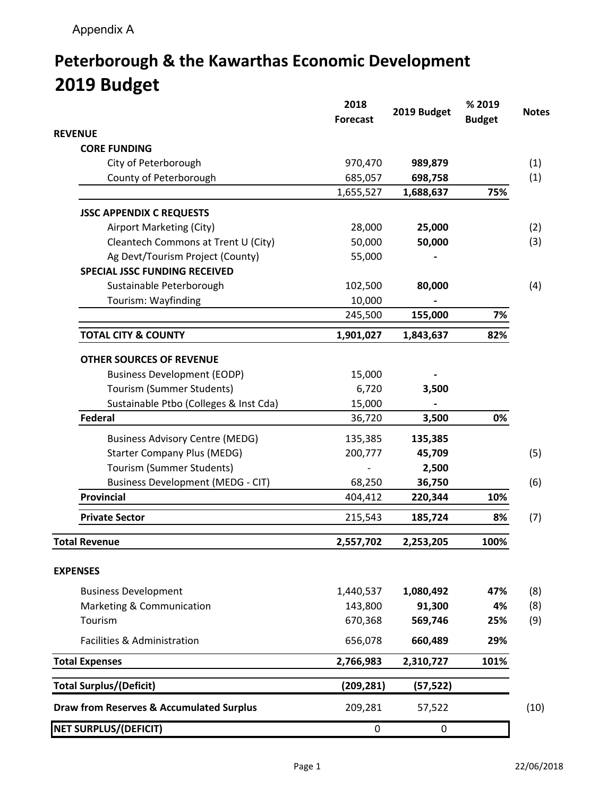## **Peterborough & the Kawarthas Economic Development 2019 Budget**

| <b>REVENUE</b><br><b>CORE FUNDING</b><br>(1)<br>City of Peterborough<br>970,470<br>989,879<br>County of Peterborough<br>(1)<br>685,057<br>698,758<br>1,655,527<br>75%<br>1,688,637<br><b>JSSC APPENDIX C REQUESTS</b><br>Airport Marketing (City)<br>28,000<br>25,000<br>(2)<br>Cleantech Commons at Trent U (City)<br>50,000<br>50,000<br>(3)<br>Ag Devt/Tourism Project (County)<br>55,000<br><b>SPECIAL JSSC FUNDING RECEIVED</b><br>(4)<br>Sustainable Peterborough<br>102,500<br>80,000<br>Tourism: Wayfinding<br>10,000<br>155,000<br>245,500<br>7%<br><b>TOTAL CITY &amp; COUNTY</b><br>82%<br>1,901,027<br>1,843,637<br><b>OTHER SOURCES OF REVENUE</b><br><b>Business Development (EODP)</b><br>15,000<br>Tourism (Summer Students)<br>6,720<br>3,500<br>Sustainable Ptbo (Colleges & Inst Cda)<br>15,000<br><b>Federal</b><br>3,500<br>0%<br>36,720<br><b>Business Advisory Centre (MEDG)</b><br>135,385<br>135,385<br><b>Starter Company Plus (MEDG)</b><br>200,777<br>45,709<br>(5)<br>Tourism (Summer Students)<br>2,500<br><b>Business Development (MEDG - CIT)</b><br>(6)<br>68,250<br>36,750<br><b>Provincial</b><br>404,412<br>10%<br>220,344<br><b>Private Sector</b><br>215,543<br>185,724<br>8%<br>(7)<br>100%<br><b>Total Revenue</b><br>2,557,702<br>2,253,205<br><b>EXPENSES</b><br><b>Business Development</b><br>1,440,537<br>1,080,492<br>47%<br>(8)<br>91,300<br>Marketing & Communication<br>143,800<br>4%<br>(8)<br>(9)<br>Tourism<br>670,368<br>569,746<br>25%<br>Facilities & Administration<br>656,078<br>660,489<br>29%<br><b>Total Expenses</b><br>2,766,983<br>101%<br>2,310,727<br><b>Total Surplus/(Deficit)</b><br>(209, 281)<br>(57, 522)<br><b>Draw from Reserves &amp; Accumulated Surplus</b><br>209,281<br>57,522<br>(10)<br><b>NET SURPLUS/(DEFICIT)</b><br>$\boldsymbol{0}$<br>0 | 2018<br><b>Forecast</b> | 2019 Budget | % 2019<br><b>Budget</b> | <b>Notes</b> |
|-------------------------------------------------------------------------------------------------------------------------------------------------------------------------------------------------------------------------------------------------------------------------------------------------------------------------------------------------------------------------------------------------------------------------------------------------------------------------------------------------------------------------------------------------------------------------------------------------------------------------------------------------------------------------------------------------------------------------------------------------------------------------------------------------------------------------------------------------------------------------------------------------------------------------------------------------------------------------------------------------------------------------------------------------------------------------------------------------------------------------------------------------------------------------------------------------------------------------------------------------------------------------------------------------------------------------------------------------------------------------------------------------------------------------------------------------------------------------------------------------------------------------------------------------------------------------------------------------------------------------------------------------------------------------------------------------------------------------------------------------------------------------------------------------------------------------------|-------------------------|-------------|-------------------------|--------------|
|                                                                                                                                                                                                                                                                                                                                                                                                                                                                                                                                                                                                                                                                                                                                                                                                                                                                                                                                                                                                                                                                                                                                                                                                                                                                                                                                                                                                                                                                                                                                                                                                                                                                                                                                                                                                                               |                         |             |                         |              |
|                                                                                                                                                                                                                                                                                                                                                                                                                                                                                                                                                                                                                                                                                                                                                                                                                                                                                                                                                                                                                                                                                                                                                                                                                                                                                                                                                                                                                                                                                                                                                                                                                                                                                                                                                                                                                               |                         |             |                         |              |
|                                                                                                                                                                                                                                                                                                                                                                                                                                                                                                                                                                                                                                                                                                                                                                                                                                                                                                                                                                                                                                                                                                                                                                                                                                                                                                                                                                                                                                                                                                                                                                                                                                                                                                                                                                                                                               |                         |             |                         |              |
|                                                                                                                                                                                                                                                                                                                                                                                                                                                                                                                                                                                                                                                                                                                                                                                                                                                                                                                                                                                                                                                                                                                                                                                                                                                                                                                                                                                                                                                                                                                                                                                                                                                                                                                                                                                                                               |                         |             |                         |              |
|                                                                                                                                                                                                                                                                                                                                                                                                                                                                                                                                                                                                                                                                                                                                                                                                                                                                                                                                                                                                                                                                                                                                                                                                                                                                                                                                                                                                                                                                                                                                                                                                                                                                                                                                                                                                                               |                         |             |                         |              |
|                                                                                                                                                                                                                                                                                                                                                                                                                                                                                                                                                                                                                                                                                                                                                                                                                                                                                                                                                                                                                                                                                                                                                                                                                                                                                                                                                                                                                                                                                                                                                                                                                                                                                                                                                                                                                               |                         |             |                         |              |
|                                                                                                                                                                                                                                                                                                                                                                                                                                                                                                                                                                                                                                                                                                                                                                                                                                                                                                                                                                                                                                                                                                                                                                                                                                                                                                                                                                                                                                                                                                                                                                                                                                                                                                                                                                                                                               |                         |             |                         |              |
|                                                                                                                                                                                                                                                                                                                                                                                                                                                                                                                                                                                                                                                                                                                                                                                                                                                                                                                                                                                                                                                                                                                                                                                                                                                                                                                                                                                                                                                                                                                                                                                                                                                                                                                                                                                                                               |                         |             |                         |              |
|                                                                                                                                                                                                                                                                                                                                                                                                                                                                                                                                                                                                                                                                                                                                                                                                                                                                                                                                                                                                                                                                                                                                                                                                                                                                                                                                                                                                                                                                                                                                                                                                                                                                                                                                                                                                                               |                         |             |                         |              |
|                                                                                                                                                                                                                                                                                                                                                                                                                                                                                                                                                                                                                                                                                                                                                                                                                                                                                                                                                                                                                                                                                                                                                                                                                                                                                                                                                                                                                                                                                                                                                                                                                                                                                                                                                                                                                               |                         |             |                         |              |
|                                                                                                                                                                                                                                                                                                                                                                                                                                                                                                                                                                                                                                                                                                                                                                                                                                                                                                                                                                                                                                                                                                                                                                                                                                                                                                                                                                                                                                                                                                                                                                                                                                                                                                                                                                                                                               |                         |             |                         |              |
|                                                                                                                                                                                                                                                                                                                                                                                                                                                                                                                                                                                                                                                                                                                                                                                                                                                                                                                                                                                                                                                                                                                                                                                                                                                                                                                                                                                                                                                                                                                                                                                                                                                                                                                                                                                                                               |                         |             |                         |              |
|                                                                                                                                                                                                                                                                                                                                                                                                                                                                                                                                                                                                                                                                                                                                                                                                                                                                                                                                                                                                                                                                                                                                                                                                                                                                                                                                                                                                                                                                                                                                                                                                                                                                                                                                                                                                                               |                         |             |                         |              |
|                                                                                                                                                                                                                                                                                                                                                                                                                                                                                                                                                                                                                                                                                                                                                                                                                                                                                                                                                                                                                                                                                                                                                                                                                                                                                                                                                                                                                                                                                                                                                                                                                                                                                                                                                                                                                               |                         |             |                         |              |
|                                                                                                                                                                                                                                                                                                                                                                                                                                                                                                                                                                                                                                                                                                                                                                                                                                                                                                                                                                                                                                                                                                                                                                                                                                                                                                                                                                                                                                                                                                                                                                                                                                                                                                                                                                                                                               |                         |             |                         |              |
|                                                                                                                                                                                                                                                                                                                                                                                                                                                                                                                                                                                                                                                                                                                                                                                                                                                                                                                                                                                                                                                                                                                                                                                                                                                                                                                                                                                                                                                                                                                                                                                                                                                                                                                                                                                                                               |                         |             |                         |              |
|                                                                                                                                                                                                                                                                                                                                                                                                                                                                                                                                                                                                                                                                                                                                                                                                                                                                                                                                                                                                                                                                                                                                                                                                                                                                                                                                                                                                                                                                                                                                                                                                                                                                                                                                                                                                                               |                         |             |                         |              |
|                                                                                                                                                                                                                                                                                                                                                                                                                                                                                                                                                                                                                                                                                                                                                                                                                                                                                                                                                                                                                                                                                                                                                                                                                                                                                                                                                                                                                                                                                                                                                                                                                                                                                                                                                                                                                               |                         |             |                         |              |
|                                                                                                                                                                                                                                                                                                                                                                                                                                                                                                                                                                                                                                                                                                                                                                                                                                                                                                                                                                                                                                                                                                                                                                                                                                                                                                                                                                                                                                                                                                                                                                                                                                                                                                                                                                                                                               |                         |             |                         |              |
|                                                                                                                                                                                                                                                                                                                                                                                                                                                                                                                                                                                                                                                                                                                                                                                                                                                                                                                                                                                                                                                                                                                                                                                                                                                                                                                                                                                                                                                                                                                                                                                                                                                                                                                                                                                                                               |                         |             |                         |              |
|                                                                                                                                                                                                                                                                                                                                                                                                                                                                                                                                                                                                                                                                                                                                                                                                                                                                                                                                                                                                                                                                                                                                                                                                                                                                                                                                                                                                                                                                                                                                                                                                                                                                                                                                                                                                                               |                         |             |                         |              |
|                                                                                                                                                                                                                                                                                                                                                                                                                                                                                                                                                                                                                                                                                                                                                                                                                                                                                                                                                                                                                                                                                                                                                                                                                                                                                                                                                                                                                                                                                                                                                                                                                                                                                                                                                                                                                               |                         |             |                         |              |
|                                                                                                                                                                                                                                                                                                                                                                                                                                                                                                                                                                                                                                                                                                                                                                                                                                                                                                                                                                                                                                                                                                                                                                                                                                                                                                                                                                                                                                                                                                                                                                                                                                                                                                                                                                                                                               |                         |             |                         |              |
|                                                                                                                                                                                                                                                                                                                                                                                                                                                                                                                                                                                                                                                                                                                                                                                                                                                                                                                                                                                                                                                                                                                                                                                                                                                                                                                                                                                                                                                                                                                                                                                                                                                                                                                                                                                                                               |                         |             |                         |              |
|                                                                                                                                                                                                                                                                                                                                                                                                                                                                                                                                                                                                                                                                                                                                                                                                                                                                                                                                                                                                                                                                                                                                                                                                                                                                                                                                                                                                                                                                                                                                                                                                                                                                                                                                                                                                                               |                         |             |                         |              |
|                                                                                                                                                                                                                                                                                                                                                                                                                                                                                                                                                                                                                                                                                                                                                                                                                                                                                                                                                                                                                                                                                                                                                                                                                                                                                                                                                                                                                                                                                                                                                                                                                                                                                                                                                                                                                               |                         |             |                         |              |
|                                                                                                                                                                                                                                                                                                                                                                                                                                                                                                                                                                                                                                                                                                                                                                                                                                                                                                                                                                                                                                                                                                                                                                                                                                                                                                                                                                                                                                                                                                                                                                                                                                                                                                                                                                                                                               |                         |             |                         |              |
|                                                                                                                                                                                                                                                                                                                                                                                                                                                                                                                                                                                                                                                                                                                                                                                                                                                                                                                                                                                                                                                                                                                                                                                                                                                                                                                                                                                                                                                                                                                                                                                                                                                                                                                                                                                                                               |                         |             |                         |              |
|                                                                                                                                                                                                                                                                                                                                                                                                                                                                                                                                                                                                                                                                                                                                                                                                                                                                                                                                                                                                                                                                                                                                                                                                                                                                                                                                                                                                                                                                                                                                                                                                                                                                                                                                                                                                                               |                         |             |                         |              |
|                                                                                                                                                                                                                                                                                                                                                                                                                                                                                                                                                                                                                                                                                                                                                                                                                                                                                                                                                                                                                                                                                                                                                                                                                                                                                                                                                                                                                                                                                                                                                                                                                                                                                                                                                                                                                               |                         |             |                         |              |
|                                                                                                                                                                                                                                                                                                                                                                                                                                                                                                                                                                                                                                                                                                                                                                                                                                                                                                                                                                                                                                                                                                                                                                                                                                                                                                                                                                                                                                                                                                                                                                                                                                                                                                                                                                                                                               |                         |             |                         |              |
|                                                                                                                                                                                                                                                                                                                                                                                                                                                                                                                                                                                                                                                                                                                                                                                                                                                                                                                                                                                                                                                                                                                                                                                                                                                                                                                                                                                                                                                                                                                                                                                                                                                                                                                                                                                                                               |                         |             |                         |              |
|                                                                                                                                                                                                                                                                                                                                                                                                                                                                                                                                                                                                                                                                                                                                                                                                                                                                                                                                                                                                                                                                                                                                                                                                                                                                                                                                                                                                                                                                                                                                                                                                                                                                                                                                                                                                                               |                         |             |                         |              |
|                                                                                                                                                                                                                                                                                                                                                                                                                                                                                                                                                                                                                                                                                                                                                                                                                                                                                                                                                                                                                                                                                                                                                                                                                                                                                                                                                                                                                                                                                                                                                                                                                                                                                                                                                                                                                               |                         |             |                         |              |
|                                                                                                                                                                                                                                                                                                                                                                                                                                                                                                                                                                                                                                                                                                                                                                                                                                                                                                                                                                                                                                                                                                                                                                                                                                                                                                                                                                                                                                                                                                                                                                                                                                                                                                                                                                                                                               |                         |             |                         |              |